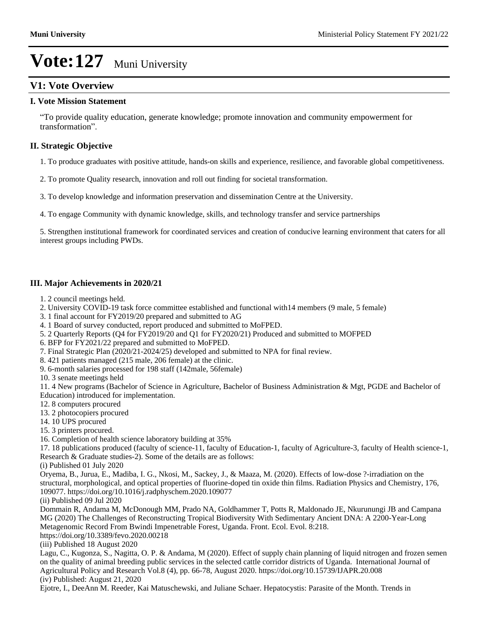## **V1: Vote Overview**

### **I. Vote Mission Statement**

³To provide quality education, generate knowledge; promote innovation and community empowerment for transformation".

### **II. Strategic Objective**

1. To produce graduates with positive attitude, hands-on skills and experience, resilience, and favorable global competitiveness.

2. To promote Quality research, innovation and roll out finding for societal transformation.

3. To develop knowledge and information preservation and dissemination Centre at the University.

4. To engage Community with dynamic knowledge, skills, and technology transfer and service partnerships

5. Strengthen institutional framework for coordinated services and creation of conducive learning environment that caters for all interest groups including PWDs.

### **III. Major Achievements in 2020/21**

- 1. 2 council meetings held.
- 2. University COVID-19 task force committee established and functional with14 members (9 male, 5 female)
- 3. 1 final account for FY2019/20 prepared and submitted to AG
- 4. 1 Board of survey conducted, report produced and submitted to MoFPED.
- 5. 2 Quarterly Reports (Q4 for FY2019/20 and Q1 for FY2020/21) Produced and submitted to MOFPED
- 6. BFP for FY2021/22 prepared and submitted to MoFPED.
- 7. Final Strategic Plan (2020/21-2024/25) developed and submitted to NPA for final review.
- 8. 421 patients managed (215 male, 206 female) at the clinic.

9. 6-month salaries processed for 198 staff (142male, 56female)

10. 3 senate meetings held

11. 4 New programs (Bachelor of Science in Agriculture, Bachelor of Business Administration & Mgt, PGDE and Bachelor of Education) introduced for implementation.

- 12. 8 computers procured
- 13. 2 photocopiers procured
- 14. 10 UPS procured
- 15. 3 printers procured.
- 16. Completion of health science laboratory building at 35%

17. 18 publications produced (faculty of science-11, faculty of Education-1, faculty of Agriculture-3, faculty of Health science-1, Research & Graduate studies-2). Some of the details are as follows:

(i) Published 01 July 2020

Oryema, B., Jurua, E., Madiba, I. G., Nkosi, M., Sackey, J., & Maaza, M. (2020). Effects of low-dose ?-irradiation on the structural, morphological, and optical properties of fluorine-doped tin oxide thin films. Radiation Physics and Chemistry, 176, 109077. https://doi.org/10.1016/j.radphyschem.2020.109077

(ii) Published 09 Jul 2020

Dommain R, Andama M, McDonough MM, Prado NA, Goldhammer T, Potts R, Maldonado JE, Nkurunungi JB and Campana MG (2020) The Challenges of Reconstructing Tropical Biodiversity With Sedimentary Ancient DNA: A 2200-Year-Long Metagenomic Record From Bwindi Impenetrable Forest, Uganda. Front. Ecol. Evol. 8:218.

https://doi.org/10.3389/fevo.2020.00218

(iii) Published 18 August 2020

Lagu, C., Kugonza, S., Nagitta, O. P. & Andama, M (2020). Effect of supply chain planning of liquid nitrogen and frozen semen on the quality of animal breeding public services in the selected cattle corridor districts of Uganda. International Journal of Agricultural Policy and Research Vol.8 (4), pp. 66-78, August 2020. https://doi.org/10.15739/IJAPR.20.008 (iv) Published: August 21, 2020

Ejotre, I., DeeAnn M. Reeder, Kai Matuschewski, and Juliane Schaer. Hepatocystis: Parasite of the Month. Trends in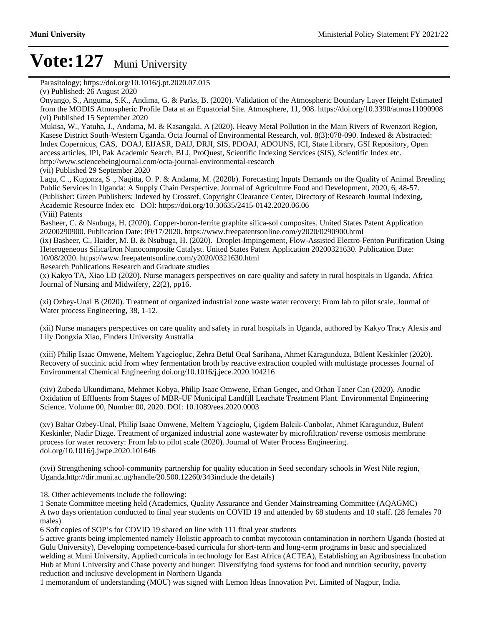Parasitology; https://doi.org/10.1016/j.pt.2020.07.015

Onyango, S., Anguma, S.K., Andima, G. & Parks, B. (2020). Validation of the Atmospheric Boundary Layer Height Estimated from the MODIS Atmospheric Profile Data at an Equatorial Site. Atmosphere, 11, 908. https://doi.org/10.3390/atmos11090908 (vi) Published 15 September 2020

Mukisa, W., Yatuha, J., Andama, M. & Kasangaki, A (2020). Heavy Metal Pollution in the Main Rivers of Rwenzori Region, Kasese District South-Western Uganda. Octa Journal of Environmental Research, vol. 8(3):078-090. Indexed & Abstracted: Index Copernicus, CAS, DOAJ, EIJASR, DAIJ, DRJI, SIS, PDOAJ, ADOUNS, ICI, State Library, GSI Repository, Open access articles, IPI, Pak Academic Search, BLJ, ProQuest, Scientific Indexing Services (SIS), Scientific Index etc. http://www.sciencebeingjournal.com/octa-journal-environmental-research (vii) Published 29 September 2020

Lagu, C ., Kugonza, S ., Nagitta, O. P. & Andama, M. (2020b). Forecasting Inputs Demands on the Quality of Animal Breeding Public Services in Uganda: A Supply Chain Perspective. Journal of Agriculture Food and Development, 2020, 6, 48-57. (Publisher: Green Publishers; Indexed by Crossref, Copyright Clearance Center, Directory of Research Journal Indexing, Academic Resource Index etc DOI: https://doi.org/10.30635/2415-0142.2020.06.06 (Viii) Patents

Basheer, C. & Nsubuga, H. (2020). Copper-boron-ferrite graphite silica-sol composites. United States Patent Application 20200290900. Publication Date: 09/17/2020. https://www.freepatentsonline.com/y2020/0290900.html

(ix) Basheer, C., Haider, M. B. & Nsubuga, H. (2020). Droplet-Impingement, Flow-Assisted Electro-Fenton Purification Using Heterogeneous Silica/Iron Nanocomposite Catalyst. United States Patent Application 20200321630. Publication Date: 10/08/2020. https://www.freepatentsonline.com/y2020/0321630.html

Research Publications Research and Graduate studies

(x) Kakyo TA, Xiao LD (2020). Nurse managers perspectives on care quality and safety in rural hospitals in Uganda. Africa Journal of Nursing and Midwifery, 22(2), pp16.

(xi) Ozbey-Unal B (2020). Treatment of organized industrial zone waste water recovery: From lab to pilot scale. Journal of Water process Engineering, 38, 1-12.

(xii) Nurse managers perspectives on care quality and safety in rural hospitals in Uganda, authored by Kakyo Tracy Alexis and Lily Dongxia Xiao, Finders University Australia

(xiii) Philip Isaac Omwene, Meltem Yagciogluc, Zehra Betül Ocal Sarihana, Ahmet Karagunduza, Bülent Keskinler (2020). Recovery of succinic acid from whey fermentation broth by reactive extraction coupled with multistage processes Journal of Environmental Chemical Engineering doi.org/10.1016/j.jece.2020.104216

(xiv) Zubeda Ukundimana, Mehmet Kobya, Philip Isaac Omwene, Erhan Gengec, and Orhan Taner Can (2020). Anodic Oxidation of Effluents from Stages of MBR-UF Municipal Landfill Leachate Treatment Plant. Environmental Engineering Science. Volume 00, Number 00, 2020. DOI: 10.1089/ees.2020.0003

(xv) Bahar Ozbey-Unal, Philip Isaac Omwene, Meltem Yagcioglu, Çigdem Balcik-Canbolat, Ahmet Karagunduz, Bulent Keskinler, Nadir Dizge. Treatment of organized industrial zone wastewater by microfiltration/ reverse osmosis membrane process for water recovery: From lab to pilot scale (2020). Journal of Water Process Engineering. doi.org/10.1016/j.jwpe.2020.101646

(xvi) Strengthening school-community partnership for quality education in Seed secondary schools in West Nile region, Uganda.http://dir.muni.ac.ug/handle/20.500.12260/343include the details)

18. Other achievements include the following:

1 Senate Committee meeting held (Academics, Quality Assurance and Gender Mainstreaming Committee (AQAGMC) A two days orientation conducted to final year students on COVID 19 and attended by 68 students and 10 staff. (28 females 70 males)

6 Soft copies of SOP's for COVID 19 shared on line with 111 final year students

5 active grants being implemented namely Holistic approach to combat mycotoxin contamination in northern Uganda (hosted at Gulu University), Developing competence-based curricula for short-term and long-term programs in basic and specialized welding at Muni University, Applied curricula in technology for East Africa (ACTEA), Establishing an Agribusiness Incubation Hub at Muni University and Chase poverty and hunger: Diversifying food systems for food and nutrition security, poverty reduction and inclusive development in Northern Uganda

1 memorandum of understanding (MOU) was signed with Lemon Ideas Innovation Pvt. Limited of Nagpur, India.

<sup>(</sup>v) Published: 26 August 2020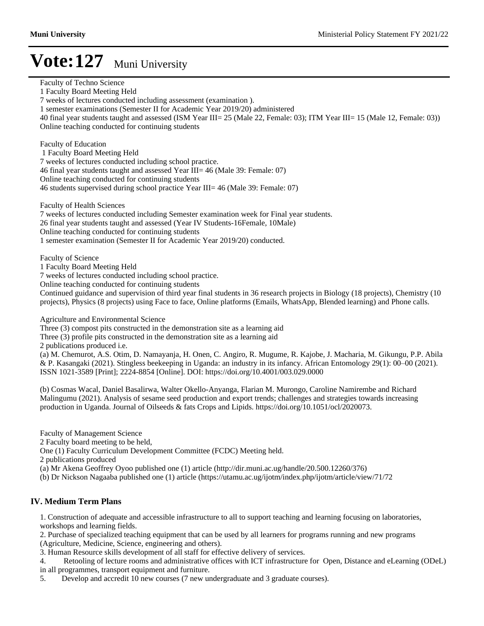Faculty of Techno Science 1 Faculty Board Meeting Held 7 weeks of lectures conducted including assessment (examination ). 1 semester examinations (Semester II for Academic Year 2019/20) administered 40 final year students taught and assessed (ISM Year III= 25 (Male 22, Female: 03); ITM Year III= 15 (Male 12, Female: 03)) Online teaching conducted for continuing students Faculty of Education 1 Faculty Board Meeting Held 7 weeks of lectures conducted including school practice. 46 final year students taught and assessed Year III= 46 (Male 39: Female: 07) Online teaching conducted for continuing students 46 students supervised during school practice Year III= 46 (Male 39: Female: 07) Faculty of Health Sciences 7 weeks of lectures conducted including Semester examination week for Final year students. 26 final year students taught and assessed (Year IV Students-16Female, 10Male) Online teaching conducted for continuing students 1 semester examination (Semester II for Academic Year 2019/20) conducted. Faculty of Science 1 Faculty Board Meeting Held 7 weeks of lectures conducted including school practice. Online teaching conducted for continuing students Continued guidance and supervision of third year final students in 36 research projects in Biology (18 projects), Chemistry (10 projects), Physics (8 projects) using Face to face, Online platforms (Emails, WhatsApp, Blended learning) and Phone calls. Agriculture and Environmental Science Three (3) compost pits constructed in the demonstration site as a learning aid Three (3) profile pits constructed in the demonstration site as a learning aid 2 publications produced i.e. (a) M. Chemurot, A.S. Otim, D. Namayanja, H. Onen, C. Angiro, R. Mugume, R. Kajobe, J. Macharia, M. Gikungu, P.P. Abila & P. Kasangaki (2021). Stingless beekeeping in Uganda: an industry in its infancy. African Entomology 29(1): 00–00 (2021). ISSN 1021-3589 [Print]; 2224-8854 [Online]. DOI: https://doi.org/10.4001/003.029.0000 (b) Cosmas Wacal, Daniel Basalirwa, Walter Okello-Anyanga, Flarian M. Murongo, Caroline Namirembe and Richard Malingumu (2021). Analysis of sesame seed production and export trends; challenges and strategies towards increasing production in Uganda. Journal of Oilseeds & fats Crops and Lipids. https://doi.org/10.1051/ocl/2020073. Faculty of Management Science 2 Faculty board meeting to be held, One (1) Faculty Curriculum Development Committee (FCDC) Meeting held. 2 publications produced (a) Mr Akena Geoffrey Oyoo published one (1) article (http://dir.muni.ac.ug/handle/20.500.12260/376) (b) Dr Nickson Nagaaba published one (1) article (https://utamu.ac.ug/ijotm/index.php/ijotm/article/view/71/72 **IV. Medium Term Plans** 1. Construction of adequate and accessible infrastructure to all to support teaching and learning focusing on laboratories, workshops and learning fields.

2. Purchase of specialized teaching equipment that can be used by all learners for programs running and new programs (Agriculture, Medicine, Science, engineering and others).

3. Human Resource skills development of all staff for effective delivery of services.

4. Retooling of lecture rooms and administrative offices with ICT infrastructure for Open, Distance and eLearning (ODeL) in all programmes, transport equipment and furniture.

5. Develop and accredit 10 new courses (7 new undergraduate and 3 graduate courses).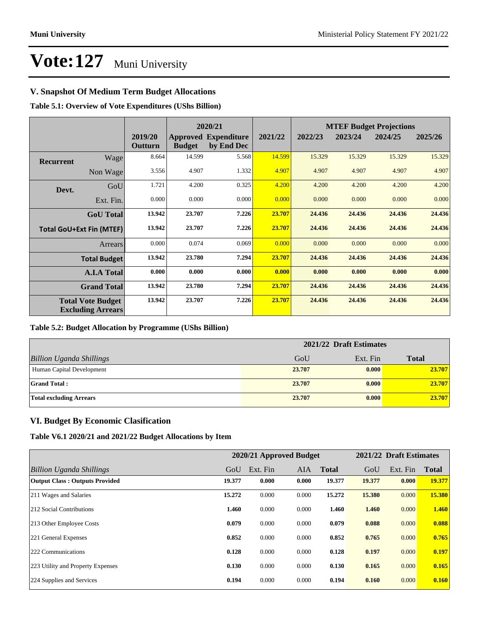### **V. Snapshot Of Medium Term Budget Allocations**

**Table 5.1: Overview of Vote Expenditures (UShs Billion)**

|                  |                                                      |                    | 2020/21       |                                           |         |         |         | <b>MTEF Budget Projections</b> |         |
|------------------|------------------------------------------------------|--------------------|---------------|-------------------------------------------|---------|---------|---------|--------------------------------|---------|
|                  |                                                      | 2019/20<br>Outturn | <b>Budget</b> | <b>Approved Expenditure</b><br>by End Dec | 2021/22 | 2022/23 | 2023/24 | 2024/25                        | 2025/26 |
| <b>Recurrent</b> | Wage                                                 | 8.664              | 14.599        | 5.568                                     | 14.599  | 15.329  | 15.329  | 15.329                         | 15.329  |
|                  | Non Wage                                             | 3.556              | 4.907         | 1.332                                     | 4.907   | 4.907   | 4.907   | 4.907                          | 4.907   |
| Devt.            | GoU                                                  | 1.721              | 4.200         | 0.325                                     | 4.200   | 4.200   | 4.200   | 4.200                          | 4.200   |
|                  | Ext. Fin.                                            | 0.000              | 0.000         | 0.000                                     | 0.000   | 0.000   | 0.000   | 0.000                          | 0.000   |
|                  | <b>GoU</b> Total                                     | 13.942             | 23.707        | 7.226                                     | 23.707  | 24.436  | 24.436  | 24.436                         | 24.436  |
|                  | <b>Total GoU+Ext Fin (MTEF)</b>                      | 13.942             | 23.707        | 7.226                                     | 23.707  | 24.436  | 24.436  | 24.436                         | 24.436  |
|                  | Arrears                                              | 0.000              | 0.074         | 0.069                                     | 0.000   | 0.000   | 0.000   | 0.000                          | 0.000   |
|                  | <b>Total Budget</b>                                  | 13.942             | 23.780        | 7.294                                     | 23.707  | 24.436  | 24.436  | 24.436                         | 24.436  |
|                  | <b>A.I.A Total</b>                                   | 0.000              | 0.000         | 0.000                                     | 0.000   | 0.000   | 0.000   | 0.000                          | 0.000   |
|                  | <b>Grand Total</b>                                   | 13.942             | 23.780        | 7.294                                     | 23.707  | 24.436  | 24.436  | 24.436                         | 24.436  |
|                  | <b>Total Vote Budget</b><br><b>Excluding Arrears</b> | 13.942             | 23.707        | 7.226                                     | 23.707  | 24.436  | 24.436  | 24.436                         | 24.436  |

#### **Table 5.2: Budget Allocation by Programme (UShs Billion)**

|                                 | 2021/22 Draft Estimates |          |              |  |  |
|---------------------------------|-------------------------|----------|--------------|--|--|
| <b>Billion Uganda Shillings</b> | GoU                     | Ext. Fin | <b>Total</b> |  |  |
| Human Capital Development       | 23.707                  | 0.000    | 23.707       |  |  |
| <b>Grand Total:</b>             | 23.707                  | 0.000    | 23.707       |  |  |
| <b>Total excluding Arrears</b>  | 23.707                  | 0.000    | 23.707       |  |  |

### **VI. Budget By Economic Clasification**

**Table V6.1 2020/21 and 2021/22 Budget Allocations by Item**

|                                       |        | 2020/21 Approved Budget |            |              |        | 2021/22 Draft Estimates |              |
|---------------------------------------|--------|-------------------------|------------|--------------|--------|-------------------------|--------------|
| Billion Uganda Shillings              | GoU    | Ext. Fin                | <b>AIA</b> | <b>Total</b> | GoU    | Ext. Fin                | <b>Total</b> |
| <b>Output Class: Outputs Provided</b> | 19.377 | 0.000                   | 0.000      | 19.377       | 19.377 | 0.000                   | 19.377       |
| 211 Wages and Salaries                | 15.272 | 0.000                   | 0.000      | 15.272       | 15.380 | 0.000                   | 15.380       |
| 212 Social Contributions              | 1.460  | 0.000                   | 0.000      | 1.460        | 1.460  | 0.000                   | 1.460        |
| 213 Other Employee Costs              | 0.079  | 0.000                   | 0.000      | 0.079        | 0.088  | 0.000                   | 0.088        |
| 221 General Expenses                  | 0.852  | 0.000                   | 0.000      | 0.852        | 0.765  | 0.000                   | 0.765        |
| 222 Communications                    | 0.128  | 0.000                   | 0.000      | 0.128        | 0.197  | 0.000                   | 0.197        |
| 223 Utility and Property Expenses     | 0.130  | 0.000                   | 0.000      | 0.130        | 0.165  | 0.000                   | 0.165        |
| 224 Supplies and Services             | 0.194  | 0.000                   | 0.000      | 0.194        | 0.160  | 0.000                   | 0.160        |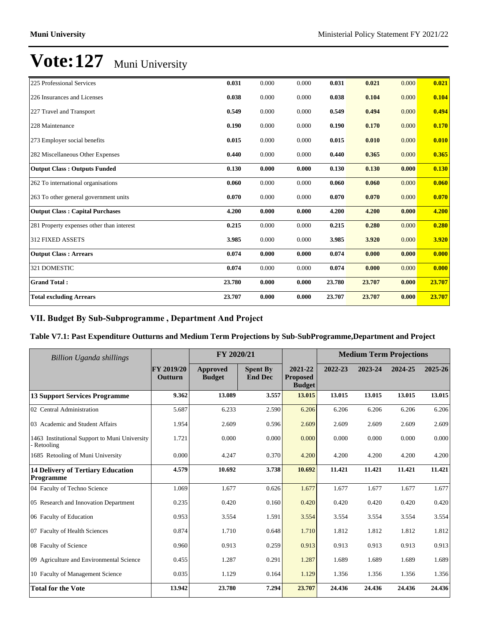| 225 Professional Services                 | 0.031  | 0.000 | 0.000 | 0.031  | 0.021  | 0.000 | 0.021  |
|-------------------------------------------|--------|-------|-------|--------|--------|-------|--------|
| 226 Insurances and Licenses               | 0.038  | 0.000 | 0.000 | 0.038  | 0.104  | 0.000 | 0.104  |
| 227 Travel and Transport                  | 0.549  | 0.000 | 0.000 | 0.549  | 0.494  | 0.000 | 0.494  |
| 228 Maintenance                           | 0.190  | 0.000 | 0.000 | 0.190  | 0.170  | 0.000 | 0.170  |
| 273 Employer social benefits              | 0.015  | 0.000 | 0.000 | 0.015  | 0.010  | 0.000 | 0.010  |
| 282 Miscellaneous Other Expenses          | 0.440  | 0.000 | 0.000 | 0.440  | 0.365  | 0.000 | 0.365  |
| <b>Output Class: Outputs Funded</b>       | 0.130  | 0.000 | 0.000 | 0.130  | 0.130  | 0.000 | 0.130  |
| 262 To international organisations        | 0.060  | 0.000 | 0.000 | 0.060  | 0.060  | 0.000 | 0.060  |
| 263 To other general government units     | 0.070  | 0.000 | 0.000 | 0.070  | 0.070  | 0.000 | 0.070  |
| <b>Output Class: Capital Purchases</b>    | 4.200  | 0.000 | 0.000 | 4.200  | 4.200  | 0.000 | 4.200  |
| 281 Property expenses other than interest | 0.215  | 0.000 | 0.000 | 0.215  | 0.280  | 0.000 | 0.280  |
| <b>312 FIXED ASSETS</b>                   | 3.985  | 0.000 | 0.000 | 3.985  | 3.920  | 0.000 | 3.920  |
| <b>Output Class: Arrears</b>              | 0.074  | 0.000 | 0.000 | 0.074  | 0.000  | 0.000 | 0.000  |
| 321 DOMESTIC                              | 0.074  | 0.000 | 0.000 | 0.074  | 0.000  | 0.000 | 0.000  |
| <b>Grand Total:</b>                       | 23.780 | 0.000 | 0.000 | 23.780 | 23.707 | 0.000 | 23.707 |
| <b>Total excluding Arrears</b>            | 23.707 | 0.000 | 0.000 | 23.707 | 23.707 | 0.000 | 23.707 |

## VII. Budget By Sub-Subprogramme, Department And Project

### **Table V7.1: Past Expenditure Outturns and Medium Term Projections by Sub-SubProgramme,Department and Project**

| <b>Billion Uganda shillings</b>                            |                       | FY 2020/21                |                                   |                                             |         | <b>Medium Term Projections</b> |         |         |
|------------------------------------------------------------|-----------------------|---------------------------|-----------------------------------|---------------------------------------------|---------|--------------------------------|---------|---------|
|                                                            | FY 2019/20<br>Outturn | Approved<br><b>Budget</b> | <b>Spent By</b><br><b>End Dec</b> | 2021-22<br><b>Proposed</b><br><b>Budget</b> | 2022-23 | 2023-24                        | 2024-25 | 2025-26 |
| <b>13 Support Services Programme</b>                       | 9.362                 | 13.089                    | 3.557                             | 13.015                                      | 13.015  | 13.015                         | 13.015  | 13.015  |
| 02 Central Administration                                  | 5.687                 | 6.233                     | 2.590                             | 6.206                                       | 6.206   | 6.206                          | 6.206   | 6.206   |
| 03 Academic and Student Affairs                            | 1.954                 | 2.609                     | 0.596                             | 2.609                                       | 2.609   | 2.609                          | 2.609   | 2.609   |
| 1463 Institutional Support to Muni University<br>Retooling | 1.721                 | 0.000                     | 0.000                             | 0.000                                       | 0.000   | 0.000                          | 0.000   | 0.000   |
| 1685 Retooling of Muni University                          | 0.000                 | 4.247                     | 0.370                             | 4.200                                       | 4.200   | 4.200                          | 4.200   | 4.200   |
| <b>14 Delivery of Tertiary Education</b><br>Programme      | 4.579                 | 10.692                    | 3.738                             | 10.692                                      | 11.421  | 11.421                         | 11.421  | 11.421  |
| 04 Faculty of Techno Science                               | 1.069                 | 1.677                     | 0.626                             | 1.677                                       | 1.677   | 1.677                          | 1.677   | 1.677   |
| 05 Research and Innovation Department                      | 0.235                 | 0.420                     | 0.160                             | 0.420                                       | 0.420   | 0.420                          | 0.420   | 0.420   |
| 06 Faculty of Education                                    | 0.953                 | 3.554                     | 1.591                             | 3.554                                       | 3.554   | 3.554                          | 3.554   | 3.554   |
| 07 Faculty of Health Sciences                              | 0.874                 | 1.710                     | 0.648                             | 1.710                                       | 1.812   | 1.812                          | 1.812   | 1.812   |
| 08 Faculty of Science                                      | 0.960                 | 0.913                     | 0.259                             | 0.913                                       | 0.913   | 0.913                          | 0.913   | 0.913   |
| 09 Agriculture and Environmental Science                   | 0.455                 | 1.287                     | 0.291                             | 1.287                                       | 1.689   | 1.689                          | 1.689   | 1.689   |
| 10 Faculty of Management Science                           | 0.035                 | 1.129                     | 0.164                             | 1.129                                       | 1.356   | 1.356                          | 1.356   | 1.356   |
| <b>Total for the Vote</b>                                  | 13.942                | 23.780                    | 7.294                             | 23.707                                      | 24.436  | 24.436                         | 24.436  | 24.436  |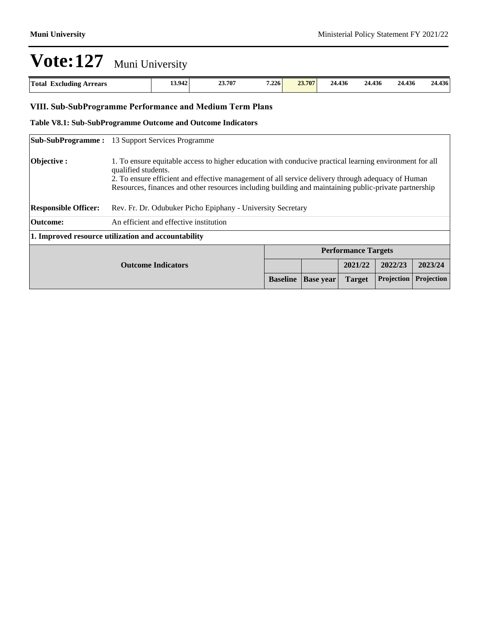| Total<br><b>Arrears</b><br>Excluding<br>. | 13.942 | 23.707 | 7.226<br>the contract of the contract of the contract of | 23.707 | 24.436<br>_____ | 24.436 | 24.436 | 24.436 |
|-------------------------------------------|--------|--------|----------------------------------------------------------|--------|-----------------|--------|--------|--------|

### **VIII. Sub-SubProgramme Performance and Medium Term Plans**

#### **Table V8.1: Sub-SubProgramme Outcome and Outcome Indicators**

|                             | <b>Sub-SubProgramme:</b> 13 Support Services Programme                                                                                                                                                                                                                                                                                       |                 |                  |                            |            |            |
|-----------------------------|----------------------------------------------------------------------------------------------------------------------------------------------------------------------------------------------------------------------------------------------------------------------------------------------------------------------------------------------|-----------------|------------------|----------------------------|------------|------------|
| Objective:                  | 1. To ensure equitable access to higher education with conducive practical learning environment for all<br>qualified students.<br>2. To ensure efficient and effective management of all service delivery through adequacy of Human<br>Resources, finances and other resources including building and maintaining public-private partnership |                 |                  |                            |            |            |
| <b>Responsible Officer:</b> | Rev. Fr. Dr. Odubuker Picho Epiphany - University Secretary                                                                                                                                                                                                                                                                                  |                 |                  |                            |            |            |
| Outcome:                    | An efficient and effective institution                                                                                                                                                                                                                                                                                                       |                 |                  |                            |            |            |
|                             | 1. Improved resource utilization and accountability                                                                                                                                                                                                                                                                                          |                 |                  |                            |            |            |
|                             |                                                                                                                                                                                                                                                                                                                                              |                 |                  | <b>Performance Targets</b> |            |            |
|                             | <b>Outcome Indicators</b>                                                                                                                                                                                                                                                                                                                    |                 |                  | 2021/22                    | 2022/23    | 2023/24    |
|                             |                                                                                                                                                                                                                                                                                                                                              | <b>Baseline</b> | <b>Base year</b> | <b>Target</b>              | Projection | Projection |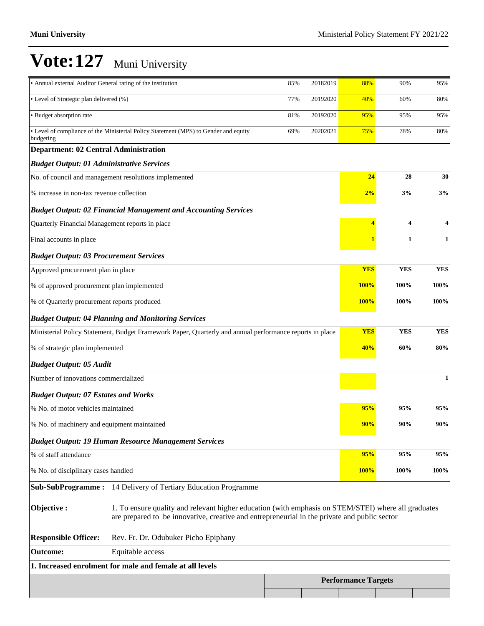| • Annual external Auditor General rating of the institution                                             |                                                                                                                                                                                                     | 85% | 20182019 | 88%                        | 90%                      | 95%        |
|---------------------------------------------------------------------------------------------------------|-----------------------------------------------------------------------------------------------------------------------------------------------------------------------------------------------------|-----|----------|----------------------------|--------------------------|------------|
| • Level of Strategic plan delivered (%)<br>77%<br>20192020                                              |                                                                                                                                                                                                     |     |          | 40%                        | 60%                      | 80%        |
| · Budget absorption rate<br>20192020<br>81%                                                             |                                                                                                                                                                                                     |     |          | 95%                        | 95%                      | 95%        |
| budgeting                                                                                               | • Level of compliance of the Ministerial Policy Statement (MPS) to Gender and equity                                                                                                                | 69% | 20202021 | 75%                        | 78%                      | 80%        |
| <b>Department: 02 Central Administration</b>                                                            |                                                                                                                                                                                                     |     |          |                            |                          |            |
| <b>Budget Output: 01 Administrative Services</b>                                                        |                                                                                                                                                                                                     |     |          |                            |                          |            |
|                                                                                                         | No. of council and management resolutions implemented                                                                                                                                               |     |          | 24                         | 28                       | 30         |
| % increase in non-tax revenue collection                                                                |                                                                                                                                                                                                     |     |          | 2%                         | 3%                       | 3%         |
|                                                                                                         | <b>Budget Output: 02 Financial Management and Accounting Services</b>                                                                                                                               |     |          |                            |                          |            |
| Quarterly Financial Management reports in place                                                         |                                                                                                                                                                                                     |     |          | 4                          | $\overline{\mathbf{4}}$  |            |
| Final accounts in place                                                                                 |                                                                                                                                                                                                     |     |          |                            | 1                        | 1          |
| <b>Budget Output: 03 Procurement Services</b>                                                           |                                                                                                                                                                                                     |     |          |                            |                          |            |
| Approved procurement plan in place                                                                      |                                                                                                                                                                                                     |     |          | <b>YES</b>                 | <b>YES</b>               | <b>YES</b> |
| % of approved procurement plan implemented                                                              |                                                                                                                                                                                                     |     |          | <b>100%</b>                | 100%                     | 100%       |
| % of Quarterly procurement reports produced                                                             |                                                                                                                                                                                                     |     |          | <b>100%</b>                | 100%                     | 100%       |
|                                                                                                         | <b>Budget Output: 04 Planning and Monitoring Services</b>                                                                                                                                           |     |          |                            |                          |            |
| Ministerial Policy Statement, Budget Framework Paper, Quarterly and annual performance reports in place |                                                                                                                                                                                                     |     |          |                            | <b>YES</b><br><b>YES</b> | <b>YES</b> |
| % of strategic plan implemented                                                                         |                                                                                                                                                                                                     |     |          | 40%                        | 60%                      | 80%        |
| <b>Budget Output: 05 Audit</b>                                                                          |                                                                                                                                                                                                     |     |          |                            |                          |            |
| Number of innovations commercialized                                                                    |                                                                                                                                                                                                     |     |          |                            |                          | 1          |
| <b>Budget Output: 07 Estates and Works</b>                                                              |                                                                                                                                                                                                     |     |          |                            |                          |            |
| % No. of motor vehicles maintained                                                                      |                                                                                                                                                                                                     |     |          | 95%                        | 95%                      | 95%        |
| % No. of machinery and equipment maintained                                                             |                                                                                                                                                                                                     |     |          | 90%                        | 90%                      | 90%        |
|                                                                                                         | <b>Budget Output: 19 Human Resource Management Services</b>                                                                                                                                         |     |          |                            |                          |            |
| % of staff attendance                                                                                   |                                                                                                                                                                                                     |     |          | 95%                        | 95%                      | 95%        |
| % No. of disciplinary cases handled                                                                     |                                                                                                                                                                                                     |     |          | <b>100%</b>                | 100%                     | 100%       |
|                                                                                                         | Sub-SubProgramme: 14 Delivery of Tertiary Education Programme                                                                                                                                       |     |          |                            |                          |            |
| Objective:                                                                                              | 1. To ensure quality and relevant higher education (with emphasis on STEM/STEI) where all graduates<br>are prepared to be innovative, creative and entrepreneurial in the private and public sector |     |          |                            |                          |            |
| <b>Responsible Officer:</b>                                                                             | Rev. Fr. Dr. Odubuker Picho Epiphany                                                                                                                                                                |     |          |                            |                          |            |
| <b>Outcome:</b>                                                                                         | Equitable access                                                                                                                                                                                    |     |          |                            |                          |            |
|                                                                                                         | 1. Increased enrolment for male and female at all levels                                                                                                                                            |     |          |                            |                          |            |
|                                                                                                         |                                                                                                                                                                                                     |     |          | <b>Performance Targets</b> |                          |            |
|                                                                                                         |                                                                                                                                                                                                     |     |          |                            |                          |            |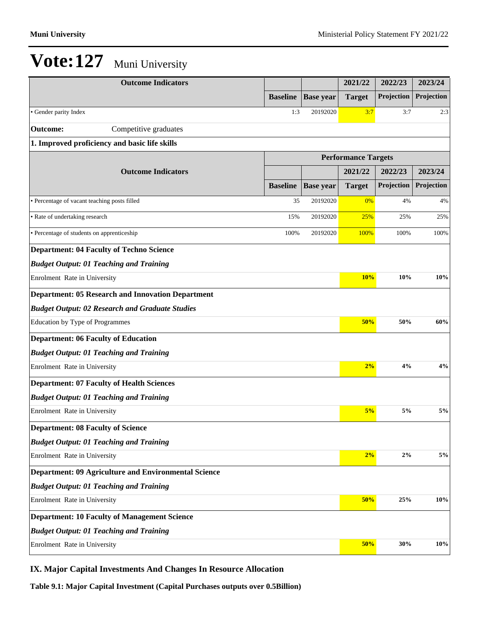| <b>Outcome Indicators</b>                                   |                 |                  | 2021/22                    | 2022/23    | 2023/24    |
|-------------------------------------------------------------|-----------------|------------------|----------------------------|------------|------------|
|                                                             | <b>Baseline</b> | <b>Base year</b> | <b>Target</b>              | Projection | Projection |
| • Gender parity Index                                       | 1:3             | 20192020         | 3:7                        | 3:7        | 2:3        |
| <b>Outcome:</b><br>Competitive graduates                    |                 |                  |                            |            |            |
| 1. Improved proficiency and basic life skills               |                 |                  |                            |            |            |
|                                                             |                 |                  | <b>Performance Targets</b> |            |            |
| <b>Outcome Indicators</b>                                   |                 |                  | 2021/22                    | 2022/23    | 2023/24    |
|                                                             | <b>Baseline</b> | <b>Base year</b> | <b>Target</b>              | Projection | Projection |
| • Percentage of vacant teaching posts filled                | 35              | 20192020         | 0%                         | 4%         | 4%         |
| • Rate of undertaking research                              | 15%             | 20192020         | 25%                        | 25%        | 25%        |
| · Percentage of students on apprenticeship                  | 100%            | 20192020         | 100%                       | 100%       | 100%       |
| <b>Department: 04 Faculty of Techno Science</b>             |                 |                  |                            |            |            |
| <b>Budget Output: 01 Teaching and Training</b>              |                 |                  |                            |            |            |
| Enrolment Rate in University                                |                 |                  | 10%                        | 10%        | 10%        |
| <b>Department: 05 Research and Innovation Department</b>    |                 |                  |                            |            |            |
| <b>Budget Output: 02 Research and Graduate Studies</b>      |                 |                  |                            |            |            |
| Education by Type of Programmes                             |                 |                  | 50%                        | 50%        | 60%        |
| <b>Department: 06 Faculty of Education</b>                  |                 |                  |                            |            |            |
| <b>Budget Output: 01 Teaching and Training</b>              |                 |                  |                            |            |            |
| Enrolment Rate in University                                |                 |                  | 2%                         | 4%         | 4%         |
| <b>Department: 07 Faculty of Health Sciences</b>            |                 |                  |                            |            |            |
| <b>Budget Output: 01 Teaching and Training</b>              |                 |                  |                            |            |            |
| Enrolment Rate in University                                |                 |                  | 5%                         | 5%         | 5%         |
| <b>Department: 08 Faculty of Science</b>                    |                 |                  |                            |            |            |
| <b>Budget Output: 01 Teaching and Training</b>              |                 |                  |                            |            |            |
| Enrolment Rate in University                                |                 |                  | 2%                         | 2%         | 5%         |
| <b>Department: 09 Agriculture and Environmental Science</b> |                 |                  |                            |            |            |
| <b>Budget Output: 01 Teaching and Training</b>              |                 |                  |                            |            |            |
| Enrolment Rate in University                                |                 |                  | 50%                        | 25%        | 10%        |
| <b>Department: 10 Faculty of Management Science</b>         |                 |                  |                            |            |            |
| <b>Budget Output: 01 Teaching and Training</b>              |                 |                  |                            |            |            |
| Enrolment Rate in University                                |                 |                  | 50%                        | 30%        | 10%        |

## **IX. Major Capital Investments And Changes In Resource Allocation**

**Table 9.1: Major Capital Investment (Capital Purchases outputs over 0.5Billion)**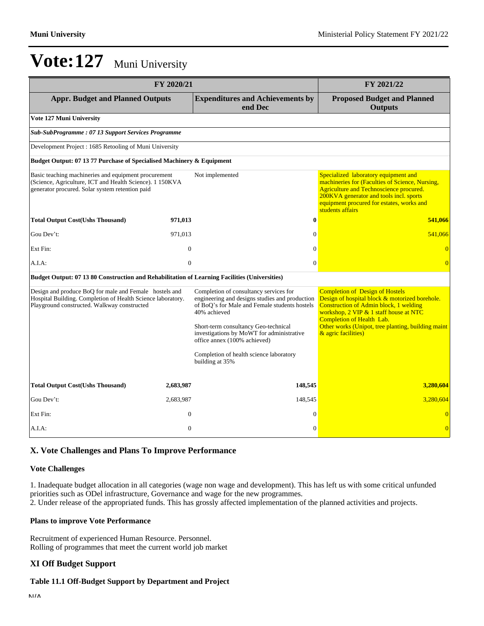|                                                                                                                                                                      | FY 2020/21       |                                                                                                                                                                                                                                                                                                                                              | FY 2021/22                                                                                                                                                                                                                                                                                    |
|----------------------------------------------------------------------------------------------------------------------------------------------------------------------|------------------|----------------------------------------------------------------------------------------------------------------------------------------------------------------------------------------------------------------------------------------------------------------------------------------------------------------------------------------------|-----------------------------------------------------------------------------------------------------------------------------------------------------------------------------------------------------------------------------------------------------------------------------------------------|
| <b>Appr. Budget and Planned Outputs</b>                                                                                                                              |                  | <b>Expenditures and Achievements by</b><br>end Dec                                                                                                                                                                                                                                                                                           | <b>Proposed Budget and Planned</b><br><b>Outputs</b>                                                                                                                                                                                                                                          |
| Vote 127 Muni University                                                                                                                                             |                  |                                                                                                                                                                                                                                                                                                                                              |                                                                                                                                                                                                                                                                                               |
| Sub-SubProgramme: 07 13 Support Services Programme                                                                                                                   |                  |                                                                                                                                                                                                                                                                                                                                              |                                                                                                                                                                                                                                                                                               |
| Development Project: 1685 Retooling of Muni University                                                                                                               |                  |                                                                                                                                                                                                                                                                                                                                              |                                                                                                                                                                                                                                                                                               |
| Budget Output: 07 13 77 Purchase of Specialised Machinery & Equipment                                                                                                |                  |                                                                                                                                                                                                                                                                                                                                              |                                                                                                                                                                                                                                                                                               |
| Basic teaching machineries and equipment procurement<br>(Science, Agriculture, ICT and Health Science). 1 150KVA<br>generator procured. Solar system retention paid  |                  | Not implemented                                                                                                                                                                                                                                                                                                                              | Specialized laboratory equipment and<br>machineries for (Faculties of Science, Nursing,<br>Agriculture and Technoscience procured.<br>200KVA generator and tools incl. sports<br>equipment procured for estates, works and<br>students affairs                                                |
| <b>Total Output Cost(Ushs Thousand)</b>                                                                                                                              | 971,013          | $\bf{0}$                                                                                                                                                                                                                                                                                                                                     | 541,066                                                                                                                                                                                                                                                                                       |
| Gou Dev't:                                                                                                                                                           | 971,013          | $\mathbf{0}$                                                                                                                                                                                                                                                                                                                                 | 541,066                                                                                                                                                                                                                                                                                       |
| Ext Fin:                                                                                                                                                             | $\mathbf{0}$     | $\Omega$                                                                                                                                                                                                                                                                                                                                     | $\overline{0}$                                                                                                                                                                                                                                                                                |
| A.I.A:                                                                                                                                                               | $\overline{0}$   | $\Omega$                                                                                                                                                                                                                                                                                                                                     | $\overline{0}$                                                                                                                                                                                                                                                                                |
| Budget Output: 07 13 80 Construction and Rehabilitation of Learning Facilities (Universities)                                                                        |                  |                                                                                                                                                                                                                                                                                                                                              |                                                                                                                                                                                                                                                                                               |
| Design and produce BoQ for male and Female hostels and<br>Hospital Building. Completion of Health Science laboratory.<br>Playground constructed. Walkway constructed |                  | Completion of consultancy services for<br>engineering and designs studies and production<br>of BoO's for Male and Female students hostels<br>40% achieved<br>Short-term consultancy Geo-technical<br>investigations by MoWT for administrative<br>office annex (100% achieved)<br>Completion of health science laboratory<br>building at 35% | <b>Completion of Design of Hostels</b><br>Design of hospital block & motorized borehole.<br>Construction of Admin block, 1 welding<br>workshop, 2 VIP & 1 staff house at NTC<br><b>Completion of Health Lab.</b><br>Other works (Unipot, tree planting, building maint<br>& agric facilities) |
| <b>Total Output Cost(Ushs Thousand)</b>                                                                                                                              | 2,683,987        | 148,545                                                                                                                                                                                                                                                                                                                                      | 3,280,604                                                                                                                                                                                                                                                                                     |
| Gou Dev't:                                                                                                                                                           | 2,683,987        | 148,545                                                                                                                                                                                                                                                                                                                                      | 3,280,604                                                                                                                                                                                                                                                                                     |
| Ext Fin:                                                                                                                                                             | $\mathbf{0}$     | $\Omega$                                                                                                                                                                                                                                                                                                                                     | $\overline{0}$                                                                                                                                                                                                                                                                                |
| A.I.A.                                                                                                                                                               | $\boldsymbol{0}$ | $\mathbf{0}$                                                                                                                                                                                                                                                                                                                                 | $\overline{0}$                                                                                                                                                                                                                                                                                |

### **X. Vote Challenges and Plans To Improve Performance**

#### **Vote Challenges**

1. Inadequate budget allocation in all categories (wage non wage and development). This has left us with some critical unfunded priorities such as ODel infrastructure, Governance and wage for the new programmes.

2. Under release of the appropriated funds. This has grossly affected implementation of the planned activities and projects.

#### **Plans to improve Vote Performance**

Recruitment of experienced Human Resource. Personnel. Rolling of programmes that meet the current world job market

### **XI Off Budget Support**

#### **Table 11.1 Off-Budget Support by Department and Project**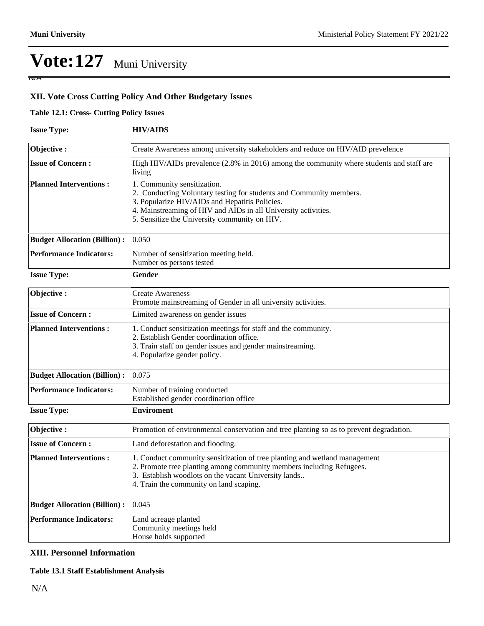$\overline{N}$ 

**XII. Vote Cross Cutting Policy And Other Budgetary Issues**

### **Table 12.1: Cross- Cutting Policy Issues**

| <b>Issue Type:</b>                  | <b>HIV/AIDS</b>                                                                                                                                                                                                                                                         |
|-------------------------------------|-------------------------------------------------------------------------------------------------------------------------------------------------------------------------------------------------------------------------------------------------------------------------|
| Objective:                          | Create Awareness among university stakeholders and reduce on HIV/AID prevelence                                                                                                                                                                                         |
| <b>Issue of Concern:</b>            | High HIV/AIDs prevalence (2.8% in 2016) among the community where students and staff are<br>living                                                                                                                                                                      |
| <b>Planned Interventions:</b>       | 1. Community sensitization.<br>2. Conducting Voluntary testing for students and Community members.<br>3. Popularize HIV/AIDs and Hepatitis Policies.<br>4. Mainstreaming of HIV and AIDs in all University activities.<br>5. Sensitize the University community on HIV. |
| <b>Budget Allocation (Billion):</b> | 0.050                                                                                                                                                                                                                                                                   |
| <b>Performance Indicators:</b>      | Number of sensitization meeting held.<br>Number os persons tested                                                                                                                                                                                                       |
| <b>Issue Type:</b>                  | Gender                                                                                                                                                                                                                                                                  |
| Objective:                          | <b>Create Awareness</b><br>Promote mainstreaming of Gender in all university activities.                                                                                                                                                                                |
| <b>Issue of Concern:</b>            | Limited awareness on gender issues                                                                                                                                                                                                                                      |
| <b>Planned Interventions:</b>       | 1. Conduct sensitization meetings for staff and the community.<br>2. Establish Gender coordination office.<br>3. Train staff on gender issues and gender mainstreaming.<br>4. Popularize gender policy.                                                                 |
| <b>Budget Allocation (Billion):</b> | 0.075                                                                                                                                                                                                                                                                   |
| <b>Performance Indicators:</b>      | Number of training conducted<br>Established gender coordination office                                                                                                                                                                                                  |
| <b>Issue Type:</b>                  | <b>Enviroment</b>                                                                                                                                                                                                                                                       |
| Objective:                          | Promotion of environmental conservation and tree planting so as to prevent degradation.                                                                                                                                                                                 |
| <b>Issue of Concern:</b>            | Land deforestation and flooding.                                                                                                                                                                                                                                        |
| <b>Planned Interventions:</b>       | 1. Conduct community sensitization of tree planting and wetland management<br>2. Promote tree planting among community members including Refugees.<br>3. Establish woodlots on the vacant University lands<br>4. Train the community on land scaping.                   |
| <b>Budget Allocation (Billion):</b> | 0.045                                                                                                                                                                                                                                                                   |
| <b>Performance Indicators:</b>      | Land acreage planted<br>Community meetings held<br>House holds supported                                                                                                                                                                                                |

### **XIII. Personnel Information**

### **Table 13.1 Staff Establishment Analysis**